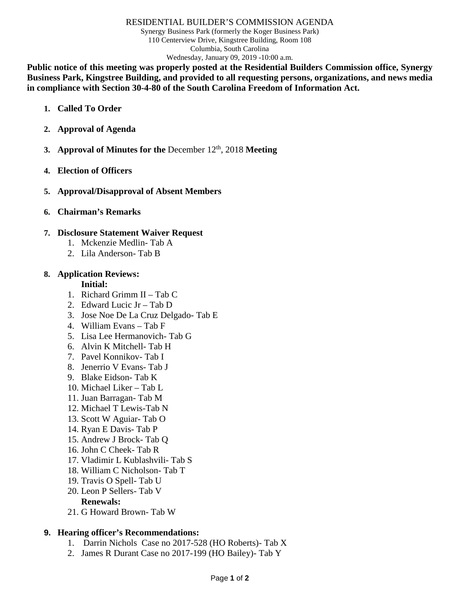#### RESIDENTIAL BUILDER'S COMMISSION AGENDA

Synergy Business Park (formerly the Koger Business Park) 110 Centerview Drive, Kingstree Building, Room 108 Columbia, South Carolina Wednesday, January 09, 2019 -10:00 a.m.

**Public notice of this meeting was properly posted at the Residential Builders Commission office, Synergy Business Park, Kingstree Building, and provided to all requesting persons, organizations, and news media in compliance with Section 30-4-80 of the South Carolina Freedom of Information Act.**

- **1. Called To Order**
- **2. Approval of Agenda**
- **3. Approval of Minutes for the December 12<sup>th</sup>, 2018 Meeting**
- **4. Election of Officers**
- **5. Approval/Disapproval of Absent Members**
- **6. Chairman's Remarks**

## **7. Disclosure Statement Waiver Request**

- 1. Mckenzie Medlin- Tab A
- 2. Lila Anderson- Tab B
- **8. Application Reviews:**

### **Initial:**

- 1. Richard Grimm II Tab C
- 2. Edward Lucic Jr Tab D
- 3. Jose Noe De La Cruz Delgado- Tab E
- 4. William Evans Tab F
- 5. Lisa Lee Hermanovich- Tab G
- 6. Alvin K Mitchell- Tab H
- 7. Pavel Konnikov- Tab I
- 8. Jenerrio V Evans- Tab J
- 9. Blake Eidson- Tab K
- 10. Michael Liker Tab L
- 11. Juan Barragan- Tab M
- 12. Michael T Lewis-Tab N
- 13. Scott W Aguiar- Tab O
- 14. Ryan E Davis- Tab P
- 15. Andrew J Brock- Tab Q
- 16. John C Cheek- Tab R
- 17. Vladimir L Kublashvili- Tab S
- 18. William C Nicholson- Tab T
- 19. Travis O Spell- Tab U
- 20. Leon P Sellers- Tab V

# **Renewals:**

21. G Howard Brown- Tab W

# **9. Hearing officer's Recommendations:**

- 1. Darrin Nichols Case no 2017-528 (HO Roberts)- Tab X
- 2. James R Durant Case no 2017-199 (HO Bailey)- Tab Y